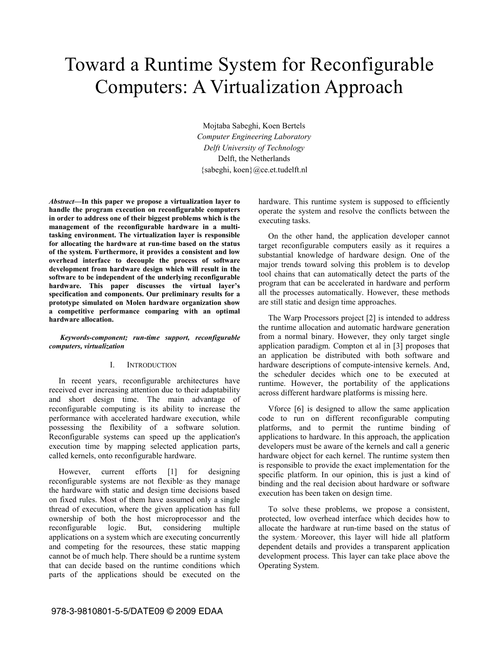# Toward a Runtime System for Reconfigurable Computers: A Virtualization Approach

Mojtaba Sabeghi, Koen Bertels *Computer Engineering Laboratory Delft University of Technology*  Delft, the Netherlands {sabeghi, koen}@ce.et.tudelft.nl

*Abstract***—In this paper we propose a virtualization layer to handle the program execution on reconfigurable computers in order to address one of their biggest problems which is the management of the reconfigurable hardware in a multitasking environment. The virtualization layer is responsible for allocating the hardware at run-time based on the status of the system. Furthermore, it provides a consistent and low overhead interface to decouple the process of software development from hardware design which will result in the software to be independent of the underlying reconfigurable hardware. This paper discusses the virtual layer's specification and components. Our preliminary results for a prototype simulated on Molen hardware organization show a competitive performance comparing with an optimal hardware allocation.** 

## *Keywords-component; run-time support, reconfigurable computers, virtualization*

# I. INTRODUCTION

In recent years, reconfigurable architectures have received ever increasing attention due to their adaptability and short design time. The main advantage of reconfigurable computing is its ability to increase the performance with accelerated hardware execution, while possessing the flexibility of a software solution. Reconfigurable systems can speed up the application's execution time by mapping selected application parts, called kernels, onto reconfigurable hardware.

However, current efforts [1] for designing reconfigurable systems are not flexible- as they manage the hardware with static and design time decisions based on fixed rules. Most of them have assumed only a single thread of execution, where the given application has full ownership of both the host microprocessor and the reconfigurable logic. But, considering multiple applications on a system which are executing concurrently and competing for the resources, these static mapping cannot be of much help. There should be a runtime system that can decide based on the runtime conditions which parts of the applications should be executed on the

hardware. This runtime system is supposed to efficiently operate the system and resolve the conflicts between the executing tasks.

On the other hand, the application developer cannot target reconfigurable computers easily as it requires a substantial knowledge of hardware design. One of the major trends toward solving this problem is to develop tool chains that can automatically detect the parts of the program that can be accelerated in hardware and perform all the processes automatically. However, these methods are still static and design time approaches.

The Warp Processors project [2] is intended to address the runtime allocation and automatic hardware generation from a normal binary. However, they only target single application paradigm. Compton et al in [3] proposes that an application be distributed with both software and hardware descriptions of compute-intensive kernels. And, the scheduler decides which one to be executed at runtime. However, the portability of the applications across different hardware platforms is missing here.

Vforce [6] is designed to allow the same application code to run on different reconfigurable computing platforms, and to permit the runtime binding of applications to hardware. In this approach, the application developers must be aware of the kernels and call a generic hardware object for each kernel. The runtime system then is responsible to provide the exact implementation for the specific platform. In our opinion, this is just a kind of binding and the real decision about hardware or software execution has been taken on design time.

To solve these problems, we propose a consistent, protected, low overhead interface which decides how to allocate the hardware at run-time based on the status of the system.- Moreover, this layer will hide all platform dependent details and provides a transparent application development process. This layer can take place above the Operating System.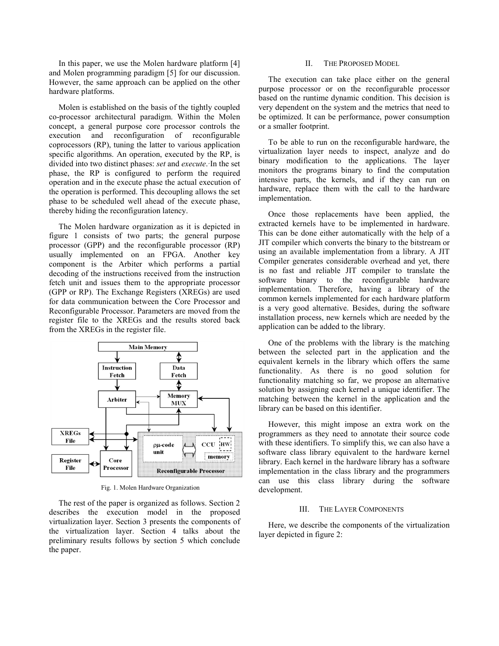In this paper, we use the Molen hardware platform [4] and Molen programming paradigm [5] for our discussion. However, the same approach can be applied on the other hardware platforms.

Molen is established on the basis of the tightly coupled co-processor architectural paradigm. Within the Molen concept, a general purpose core processor controls the execution and reconfiguration of reconfigurable coprocessors (RP), tuning the latter to various application specific algorithms. An operation, executed by the RP, is divided into two distinct phases: *set* and *execute*.-In the set phase, the RP is configured to perform the required operation and in the execute phase the actual execution of the operation is performed. This decoupling allows the set phase to be scheduled well ahead of the execute phase, thereby hiding the reconfiguration latency.

The Molen hardware organization as it is depicted in figure 1 consists of two parts; the general purpose processor (GPP) and the reconfigurable processor (RP) usually implemented on an FPGA. Another key component is the Arbiter which performs a partial decoding of the instructions received from the instruction fetch unit and issues them to the appropriate processor (GPP or RP). The Exchange Registers (XREGs) are used for data communication between the Core Processor and Reconfigurable Processor. Parameters are moved from the register file to the XREGs and the results stored back from the XREGs in the register file.



Fig. 1. Molen Hardware Organization

The rest of the paper is organized as follows. Section 2 describes the execution model in the proposed virtualization layer. Section 3 presents the components of the virtualization layer. Section 4 talks about the preliminary results follows by section 5 which conclude the paper.

# II. THE PROPOSED MODEL

The execution can take place either on the general purpose processor or on the reconfigurable processor based on the runtime dynamic condition. This decision is very dependent on the system and the metrics that need to be optimized. It can be performance, power consumption or a smaller footprint.

To be able to run on the reconfigurable hardware, the virtualization layer needs to inspect, analyze and do binary modification to the applications. The layer monitors the programs binary to find the computation intensive parts, the kernels, and if they can run on hardware, replace them with the call to the hardware implementation.

Once those replacements have been applied, the extracted kernels have to be implemented in hardware. This can be done either automatically with the help of a JIT compiler which converts the binary to the bitstream or using an available implementation from a library. A JIT Compiler generates considerable overhead and yet, there is no fast and reliable JIT compiler to translate the software binary to the reconfigurable hardware implementation. Therefore, having a library of the common kernels implemented for each hardware platform is a very good alternative. Besides, during the software installation process, new kernels which are needed by the application can be added to the library.

One of the problems with the library is the matching between the selected part in the application and the equivalent kernels in the library which offers the same functionality. As there is no good solution for functionality matching so far, we propose an alternative solution by assigning each kernel a unique identifier. The matching between the kernel in the application and the library can be based on this identifier.

However, this might impose an extra work on the programmers as they need to annotate their source code with these identifiers. To simplify this, we can also have a software class library equivalent to the hardware kernel library. Each kernel in the hardware library has a software implementation in the class library and the programmers can use this class library during the software development.

## III. THE LAYER COMPONENTS

Here, we describe the components of the virtualization layer depicted in figure 2: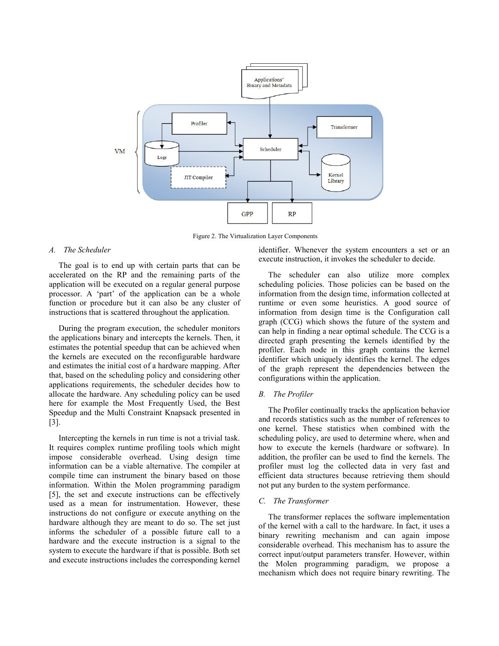

Figure 2. The Virtualization Layer Components

## *A. The Scheduler*

The goal is to end up with certain parts that can be accelerated on the RP and the remaining parts of the application will be executed on a regular general purpose processor. A 'part' of the application can be a whole function or procedure but it can also be any cluster of instructions that is scattered throughout the application.

During the program execution, the scheduler monitors the applications binary and intercepts the kernels. Then, it estimates the potential speedup that can be achieved when the kernels are executed on the reconfigurable hardware and estimates the initial cost of a hardware mapping. After that, based on the scheduling policy and considering other applications requirements, the scheduler decides how to allocate the hardware. Any scheduling policy can be used here for example the Most Frequently Used, the Best Speedup and the Multi Constraint Knapsack presented in [3].

Intercepting the kernels in run time is not a trivial task. It requires complex runtime profiling tools which might impose considerable overhead. Using design time information can be a viable alternative. The compiler at compile time can instrument the binary based on those information. Within the Molen programming paradigm [5], the set and execute instructions can be effectively used as a mean for instrumentation. However, these instructions do not configure or execute anything on the hardware although they are meant to do so. The set just informs the scheduler of a possible future call to a hardware and the execute instruction is a signal to the system to execute the hardware if that is possible. Both set and execute instructions includes the corresponding kernel identifier. Whenever the system encounters a set or an execute instruction, it invokes the scheduler to decide.

The scheduler can also utilize more complex scheduling policies. Those policies can be based on the information from the design time, information collected at runtime or even some heuristics. A good source of information from design time is the Configuration call graph (CCG) which shows the future of the system and can help in finding a near optimal schedule. The CCG is a directed graph presenting the kernels identified by the profiler. Each node in this graph contains the kernel identifier which uniquely identifies the kernel. The edges of the graph represent the dependencies between the configurations within the application.

## *B. The Profiler*

The Profiler continually tracks the application behavior and records statistics such as the number of references to one kernel. These statistics when combined with the scheduling policy, are used to determine where, when and how to execute the kernels (hardware or software). In addition, the profiler can be used to find the kernels. The profiler must log the collected data in very fast and efficient data structures because retrieving them should not put any burden to the system performance.

# *C. The Transformer*

The transformer replaces the software implementation of the kernel with a call to the hardware. In fact, it uses a binary rewriting mechanism and can again impose considerable overhead. This mechanism has to assure the correct input/output parameters transfer. However, within the Molen programming paradigm, we propose a mechanism which does not require binary rewriting. The